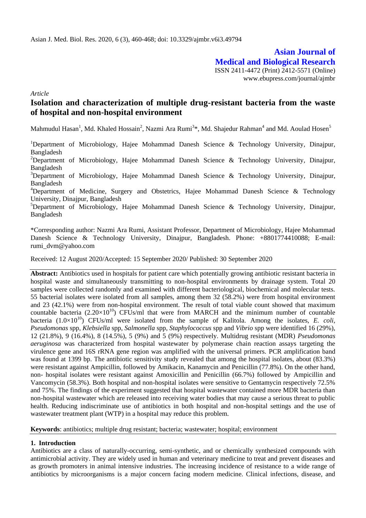# **Asian Journal of Medical and Biological Research**

ISSN 2411-4472 (Print) 2412-5571 (Online) www.ebupress.com/journal/ajmbr

*Article*

# **Isolation and characterization of multiple drug-resistant bacteria from the waste of hospital and non-hospital environment**

Mahmudul Hasan<sup>1</sup>, Md. Khaled Hossain<sup>2</sup>, Nazmi Ara Rumi<sup>3</sup>\*, Md. Shajedur Rahman<sup>4</sup> and Md. Aoulad Hosen<sup>5</sup>

<sup>1</sup>Department of Microbiology, Hajee Mohammad Danesh Science & Technology University, Dinajpur, Bangladesh

<sup>2</sup>Department of Microbiology, Hajee Mohammad Danesh Science & Technology University, Dinajpur, Bangladesh

<sup>3</sup>Department of Microbiology, Hajee Mohammad Danesh Science & Technology University, Dinajpur, Bangladesh

<sup>4</sup>Department of Medicine, Surgery and Obstetrics, Hajee Mohammad Danesh Science & Technology University, Dinajpur, Bangladesh

 $5D$ epartment of Microbiology, Hajee Mohammad Danesh Science & Technology University, Dinajpur, Bangladesh

\*Corresponding author: Nazmi Ara Rumi, Assistant Professor, Department of Microbiology, Hajee Mohammad Danesh Science & Technology University, Dinajpur, Bangladesh. Phone: +8801774410088; E-mail: rumi\_dvm@yahoo.com

Received: 12 August 2020/Accepted: 15 September 2020/ Published: 30 September 2020

**Abstract:** Antibiotics used in hospitals for patient care which potentially growing antibiotic resistant bacteria in hospital waste and simultaneously transmitting to non-hospital environments by drainage system. Total 20 samples were collected randomly and examined with different bacteriological, biochemical and molecular tests. 55 bacterial isolates were isolated from all samples, among them 32 (58.2%) were from hospital environment and 23 (42.1%) were from non-hospital environment. The result of total viable count showed that maximum countable bacteria  $(2.20\times10^{10})$  CFUs/ml that were from MARCH and the minimum number of countable bacteria  $(1.0\times10^{10})$  CFUs/ml were isolated from the sample of Kalitola. Among the isolates, *E. coli. Pseudomonas* spp, *Klebsiella* spp, *Salmonella* spp, *Staphylococcus* spp and *Vibrio* spp were identified 16 (29%), 12 (21.8%), 9 (16.4%), 8 (14.5%), 5 (9%) and 5 (9%) respectively. Multidrug resistant (MDR) *Pseudomonas aeruginosa* was characterized from hospital wastewater by polymerase chain reaction assays targeting the virulence gene and 16S rRNA gene region was amplified with the universal primers. PCR amplification band was found at 1399 bp. The antibiotic sensitivity study revealed that among the hospital isolates, about (83.3%) were resistant against Ampicillin, followed by Amikacin, Kanamycin and Penicillin (77.8%). On the other hand, non- hospital isolates were resistant against Amoxicillin and Penicillin (66.7%) followed by Ampicillin and Vancomycin (58.3%). Both hospital and non-hospital isolates were sensitive to Gentamycin respectively 72.5% and 75%. The findings of the experiment suggested that hospital wastewater contained more MDR bacteria than non-hospital wastewater which are released into receiving water bodies that may cause a serious threat to public health. Reducing indiscriminate use of antibiotics in both hospital and non-hospital settings and the use of wastewater treatment plant (WTP) in a hospital may reduce this problem.

**Keywords**: antibiotics; multiple drug resistant; bacteria; wastewater; hospital; environment

# **1. Introduction**

Antibiotics are a class of naturally-occurring, semi-synthetic, and or chemically synthesized compounds with antimicrobial activity. They are widely used in human and veterinary medicine to treat and prevent diseases and as growth promoters in animal intensive industries. The increasing incidence of resistance to a wide range of antibiotics by microorganisms is a major concern facing modern medicine. Clinical infections, disease, and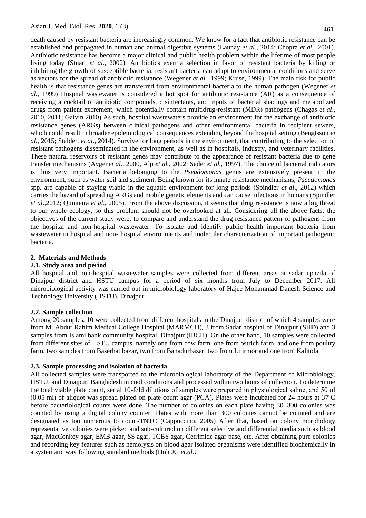death caused by resistant bacteria are increasingly common. We know for a fact that antibiotic resistance can be established and propagated in human and animal digestive systems (Launay *et al.*, 2014; Chopra *et al*., 2001). Antibiotic resistance has become a major clinical and public health problem within the lifetime of most people living today (Stuart *et al.*, 2002). Antibiotics exert a selection in favor of resistant bacteria by killing or inhibiting the growth of susceptible bacteria; resistant bacteria can adapt to environmental conditions and serve as vectors for the spread of antibiotic resistance (Wegener *et al*., 1999; Kruse, 1999). The main risk for public health is that resistance genes are transferred from environmental bacteria to the human pathogen (Wegener *et al.,* 1999) Hospital wastewater is considered a hot spot for antibiotic resistance (AR) as a consequence of receiving a cocktail of antibiotic compounds, disinfectants, and inputs of bacterial shadings and metabolized drugs from patient excrement, which potentially contain multidrug-resistant (MDR) pathogens (Chagas *et al*., 2010, 2011; Galvin 2010) As such, hospital wastewaters provide an environment for the exchange of antibiotic resistance genes (ARGs) between clinical pathogens and other environmental bacteria in recipient sewers, which could result in broader epidemiological consequences extending beyond the hospital setting (Bengtsson *et al.,* 2015; Stalder. *et al*., 2014). Survive for long periods in the environment, that contributing to the selection of resistant pathogens disseminated in the environment, as well as in hospitals, industry, and veterinary facilities. These natural reservoirs of resistant genes may contribute to the appearance of resistant bacteria due to gene transfer mechanisms (Aygen*et al.*, 2000, Alp *et al.,* 2002; Sader *et al.,* 1997). The choice of bacterial indicators is thus very important. Bacteria belonging to the *Pseudomonas* genus are extensively present in the environment, such as water soil and sediment. Being known for its innate resistance mechanisms, *Pseudomonas*  spp. are capable of staying viable in the aquatic environment for long periods (Spindler *et al*., 2012) which carries the hazard of spreading ARGs and mobile genetic elements and can cause infections in humans (Spindler *et al*.,2012; Quinteira *et al*., 2005). From the above discussion, it seems that drug resistance is now a big threat to our whole ecology, so this problem should not be overlooked at all. Considering all the above facts; the objectives of the current study were; to compare and understand the drug resistance pattern of pathogens from the hospital and non-hospital wastewater. To isolate and identify public health important bacteria from wastewater in hospital and non- hospital environments and molecular characterization of important pathogenic bacteria.

#### **2. Materials and Methods**

#### **2.1. Study area and period**

All hospital and non-hospital wastewater samples were collected from different areas at sadar upazila of Dinajpur district and HSTU campus for a period of six months from July to December 2017. All microbiological activity was carried out in microbiology laboratory of Hajee Mohammad Danesh Science and Technology University (HSTU), Dinajpur.

#### **2.2. Sample collection**

Among 20 samples, 10 were collected from different hospitals in the Dinajpur district of which 4 samples were from M. Abdur Rahim Medical College Hospital (MARMCH), 3 from Sadar hospital of Dinajpur (SHD) and 3 samples from Islami bank community hospital, Dinajpur (IBCH). On the other hand, 10 samples were collected from different sites of HSTU campus, namely one from cow farm, one from ostrich farm, and one from poultry farm, two samples from Baserhat bazar, two from Bahadurbazar, two from Lilirmor and one from Kalitola.

#### **2.3. Sample processing and isolation of bacteria**

All collected samples were transported to the microbiological laboratory of the Department of Microbiology, HSTU, and Dinajpur, Bangladesh in cool conditions and processed within two hours of collection. To determine the total viable plate count, serial 10-fold dilutions of samples were prepared in physiological saline, and 50 μl (0.05 ml) of aliquot was spread plated on plate count agar (PCA). Plates were incubated for 24 hours at 37ºC before bacteriological counts were done. The number of colonies on each plate having 30–300 colonies was counted by using a digital colony counter. Plates with more than 300 colonies cannot be counted and are designated as too numerous to count-TNTC (Cappuccino, 2005) After that, based on colony morphology representative colonies were picked and sub-cultured on different selective and differential media such as blood agar, MacConkey agar, EMB agar, SS agar, TCBS agar, Cetrimide agar base, etc. After obtaining pure colonies and recording key features such as hemolysis on blood agar isolated organisms were identified biochemically in a systematic way following standard methods (Holt JG *et.al.)*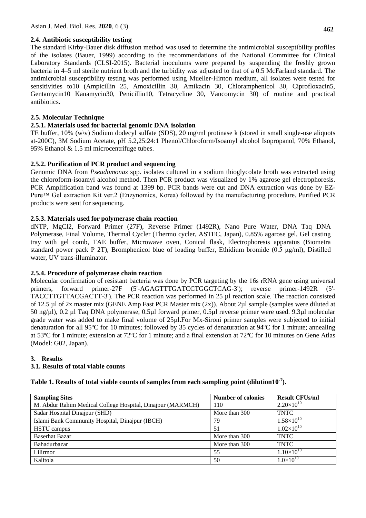## **2.4. Antibiotic susceptibility testing**

The standard Kirby-Bauer disk diffusion method was used to determine the antimicrobial susceptibility profiles of the isolates (Bauer, 1999) according to the recommendations of the National Committee for Clinical Laboratory Standards (CLSI-2015). Bacterial inoculums were prepared by suspending the freshly grown bacteria in 4–5 ml sterile nutrient broth and the turbidity was adjusted to that of a 0.5 McFarland standard. The antimicrobial susceptibility testing was performed using Mueller-Hinton medium, all isolates were tested for sensitivities to10 (Ampicillin 25, Amoxicillin 30, Amikacin 30, Chloramphenicol 30, Ciprofloxacin5, Gentamycin10 Kanamycin30, Penicillin10, Tetracycline 30, Vancomycin 30) of routine and practical antibiotics.

## **2.5. Molecular Technique**

### **2.5.1. Materials used for bacterial genomic DNA isolation**

TE buffer,  $10\%$  (w\v) Sodium dodecyl sulfate (SDS), 20 mg\ml protinase k (stored in small single-use aliquots at-200C), 3M Sodium Acetate, pH 5.2,25:24:1 Phenol/Chloroform/Isoamyl alcohol Isopropanol, 70% Ethanol, 95% Ethanol & 1.5 ml microcentrifuge tubes.

## **2.5.2. Purification of PCR product and sequencing**

Genomic DNA from *Pseudomonas* spp. isolates cultured in a sodium thioglycolate broth was extracted using the chloroform-isoamyl alcohol method. Then PCR product was visualized by 1% agarose gel electrophoresis. PCR Amplification band was found at 1399 bp. PCR bands were cut and DNA extraction was done by EZ-Pure™ Gel extraction Kit ver.2 (Enzynomics, Korea) followed by the manufacturing procedure. Purified PCR products were sent for sequencing.

## **2.5.3. Materials used for polymerase chain reaction**

dNTP, MgCl2, Forward Primer (27F), Reverse Primer (1492R), Nano Pure Water, DNA Taq DNA Polymerase, Final Volume, Thermal Cycler (Thermo cycler, ASTEC, Japan), 0.85% agarose gel, Gel casting tray with gel comb, TAE buffer, Microwave oven, Conical flask, Electrophoresis apparatus (Biometra standard power pack P 2T), Bromphenicol blue of loading buffer, Ethidium bromide (0.5 μg/ml), Distilled water, UV trans-illuminator.

# **2.5.4. Procedure of polymerase chain reaction**

Molecular confirmation of resistant bacteria was done by PCR targeting by the 16s rRNA gene using universal primers, forward primer-27F (5'-AGAGTTTGATCCTGGCTCAG-3'); reverse primer-1492R (5'- TACCTTGTTACGACTT-3'). The PCR reaction was performed in 25 µl reaction scale. The reaction consisted of 12.5 µl of 2x master mix (GENE Amp Fast PCR Master mix (2x)). About 2µl sample (samples were diluted at 50 ng/µl), 0.2 µl Taq DNA polymerase, 0.5µl forward primer, 0.5µl reverse primer were used. 9.3µl molecular grade water was added to make final volume of 25µl.For Mx-Sironi primer samples were subjected to initial denaturation for all 95ºC for 10 minutes; followed by 35 cycles of denaturation at 94ºC for 1 minute; annealing at 53ºC for 1 minute; extension at 72ºC for 1 minute; and a final extension at 72ºC for 10 minutes on Gene Atlas (Model: G02, Japan).

#### **3. Results**

# **3.1. Results of total viable counts**

|  |  |  |  | Table 1. Results of total viable counts of samples from each sampling point (dilution10 <sup>-7</sup> ). |  |
|--|--|--|--|----------------------------------------------------------------------------------------------------------|--|
|  |  |  |  |                                                                                                          |  |
|  |  |  |  |                                                                                                          |  |

| <b>Sampling Sites</b>                                      | <b>Number of colonies</b> | <b>Result CFUs/ml</b> |
|------------------------------------------------------------|---------------------------|-----------------------|
| M. Abdur Rahim Medical College Hospital, Dinajpur (MARMCH) | 110                       | $2.20\times10^{10}$   |
| Sadar Hospital Dinajpur (SHD)                              | More than 300             | <b>TNTC</b>           |
| Islami Bank Community Hospital, Dinajpur (IBCH)            | 79                        | $1.58\times10^{10}$   |
| <b>HSTU</b> campus                                         | 51                        | $1.02\times10^{10}$   |
| <b>Baserhat Bazar</b>                                      | More than 300             | <b>TNTC</b>           |
| Bahadurbazar                                               | More than 300             | <b>TNTC</b>           |
| Lilirmor                                                   | 55                        | $1.10\times10^{10}$   |
| Kalitola                                                   | 50                        | $1.0\times10^{10}$    |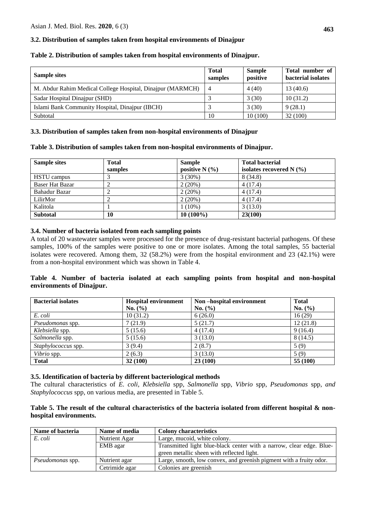## **3.2. Distribution of samples taken from hospital environments of Dinajpur**

| <b>Sample sites</b>                                        | <b>Total</b><br>samples | <b>Sample</b><br>positive | Total number of<br>bacterial isolates |
|------------------------------------------------------------|-------------------------|---------------------------|---------------------------------------|
| M. Abdur Rahim Medical College Hospital, Dinajpur (MARMCH) | $\overline{4}$          | 4(40)                     | 13(40.6)                              |
| Sadar Hospital Dinajpur (SHD)                              |                         | 3(30)                     | 10(31.2)                              |
| Islami Bank Community Hospital, Dinajpur (IBCH)            |                         | 3(30)                     | 9(28.1)                               |
| Subtotal                                                   | 10                      | 10(100)                   | 32(100)                               |

#### **3.3. Distribution of samples taken from non-hospital environments of Dinajpur**

#### **Table 3. Distribution of samples taken from non-hospital environments of Dinajpur.**

| <b>Sample sites</b>    | <b>Total</b><br>samples | <b>Sample</b><br>positive $N(\%)$ | <b>Total bacterial</b><br>isolates recovered $N$ (%) |
|------------------------|-------------------------|-----------------------------------|------------------------------------------------------|
| <b>HSTU</b> campus     |                         | $3(30\%)$                         | 8 (34.8)                                             |
| <b>Baser Hat Bazar</b> |                         | 2(20%)                            | 4(17.4)                                              |
| <b>Bahadur Bazar</b>   |                         | 2(20%)                            | 4(17.4)                                              |
| LilirMor               |                         | 2(20%)                            | 4(17.4)                                              |
| Kalitola               |                         | $1(10\%)$                         | 3(13.0)                                              |
| <b>Subtotal</b>        | 10                      | $10(100\%)$                       | 23(100)                                              |

#### **3.4. Number of bacteria isolated from each sampling points**

A total of 20 wastewater samples were processed for the presence of drug-resistant bacterial pathogens. Of these samples, 100% of the samples were positive to one or more isolates. Among the total samples, 55 bacterial isolates were recovered. Among them, 32 (58.2%) were from the hospital environment and 23 (42.1%) were from a non-hospital environment which was shown in Table 4.

## **Table 4. Number of bacteria isolated at each sampling points from hospital and non-hospital environments of Dinajpur.**

| <b>Bacterial isolates</b> | <b>Hospital environment</b> | Non-hospital environment | <b>Total</b> |
|---------------------------|-----------------------------|--------------------------|--------------|
|                           | No. $(\% )$                 | No. (%)                  | No. $(\% )$  |
| E. coli                   | 10(31.2)                    | 6(26.0)                  | 16(29)       |
| Pseudomonas spp.          | 7(21.9)                     | 5(21.7)                  | 12(21.8)     |
| Klebsiella spp.           | 5(15.6)                     | 4(17.4)                  | 9(16.4)      |
| Salmonella spp.           | 5(15.6)                     | 3(13.0)                  | 8(14.5)      |
| Staphylococcus spp.       | 3(9.4)                      | 2(8.7)                   | 5(9)         |
| Vibrio spp.               | 2(6.3)                      | 3(13.0)                  | 5(9)         |
| <b>Total</b>              | 32(100)                     | 23(100)                  | 55 (100)     |

#### **3.5. Identification of bacteria by different bacteriological methods**

The cultural characteristics of *E. coli, Klebsiella* spp*, Salmonella* spp, *Vibrio* spp*, Pseudomonas* spp, *and Staphylococcus* spp, on various media, are presented in Table 5.

## **Table 5. The result of the cultural characteristics of the bacteria isolated from different hospital & nonhospital environments.**

| Name of bacteria        | Name of media  | <b>Colony characteristics</b>                                        |
|-------------------------|----------------|----------------------------------------------------------------------|
| E. coli                 | Nutrient Agar  | Large, mucoid, white colony.                                         |
|                         | EMB agar       | Transmitted light blue-black center with a narrow, clear edge. Blue- |
|                         |                | green metallic sheen with reflected light.                           |
| <i>Pseudomonas</i> spp. | Nutrient agar  | Large, smooth, low convex, and greenish pigment with a fruity odor.  |
|                         | Cetrimide agar | Colonies are greenish                                                |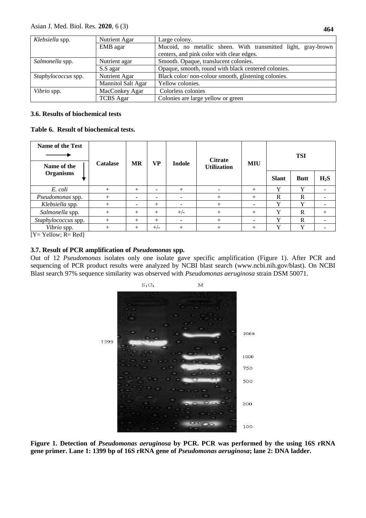| Klebsiella spp.     | Nutrient Agar             | Large colony.                                                 |  |  |  |  |  |
|---------------------|---------------------------|---------------------------------------------------------------|--|--|--|--|--|
|                     | EMB agar                  | Mucoid, no metallic sheen. With transmitted light, gray-brown |  |  |  |  |  |
|                     |                           | centers, and pink color with clear edges.                     |  |  |  |  |  |
| Salmonella spp.     | Nutrient agar             | Smooth. Opaque, translucent colonies.                         |  |  |  |  |  |
|                     | S.S agar                  | Opaque, smooth, round with black centered colonies.           |  |  |  |  |  |
| Staphylococcus spp. | Nutrient Agar             | Black color/non-colour smooth, glistening colonies.           |  |  |  |  |  |
|                     | <b>Mannitol Salt Agar</b> | Yellow colonies.                                              |  |  |  |  |  |
| Vibrio spp.         | MacConkey Agar            | Colorless colonies                                            |  |  |  |  |  |
|                     | <b>TCBS</b> Agar          | Colonies are large yellow or green                            |  |  |  |  |  |

### **3.6. Results of biochemical tests**

**Table 6. Result of biochemical tests.**

| Name of the Test<br>Name of the  | <b>Catalase</b> | <b>MR</b> | VP     | Indole | <b>Citrate</b><br><b>Utilization</b> | <b>MIU</b>               |              |              | <b>TSI</b> |  |
|----------------------------------|-----------------|-----------|--------|--------|--------------------------------------|--------------------------|--------------|--------------|------------|--|
| <b>Organisms</b>                 |                 |           |        |        |                                      |                          | <b>Slant</b> | <b>Butt</b>  | $H_2S$     |  |
| E. coli                          | $^{+}$          | $^{+}$    | ۰      | $^{+}$ | -                                    | $^{+}$                   | $\bf v$      | $\mathbf v$  |            |  |
| Pseudomonas spp.                 | $^{+}$          |           | -      | -      | $^{+}$                               | $^{+}$                   | R            | R            |            |  |
| Klebsiella spp.                  | $^{+}$          |           | $^{+}$ | -      | $^{+}$                               | $\overline{\phantom{0}}$ | $\mathbf{v}$ | $\mathbf{v}$ |            |  |
| Salmonella spp.                  | $^{+}$          | $^{+}$    | $^{+}$ | $+/-$  | $^{+}$                               | $^{+}$                   | $\mathbf v$  | R            | $^{+}$     |  |
| Staphylococcus spp.              | $^{+}$          | $^{+}$    | $^{+}$ | -      | $^{+}$                               | $\sim$                   |              | $\mathbb{R}$ |            |  |
| Vibrio spp.<br>___ __ __ _ _ _ _ | $^{+}$          | $^{+}$    | $+/-$  | $^{+}$ | $^{+}$                               | $^{+}$                   |              | v            |            |  |

 $[Y=$  Yellow;  $R=$  Red]

# **3.7. Result of PCR amplification of** *Pseudomonas* **spp***.*

Out of 12 *Pseudomonas* isolates only one isolate gave specific amplification (Figure 1). After PCR and sequencing of PCR product results were analyzed by NCBI blast search [\(www.ncbi.nih.gov/blast\)](http://www.ncbi.nih.gov/blast). On NCBI Blast search 97% sequence similarity was observed with *Pseudomonas aeruginosa* strain DSM 50071.



**Figure 1. Detection of** *Pseudomonas aeruginosa* **by PCR. PCR was performed by the using 16S rRNA gene primer. Lane 1: 1399 bp of 16S rRNA gene of** *Pseudomonas aeruginosa***; lane 2: DNA ladder.**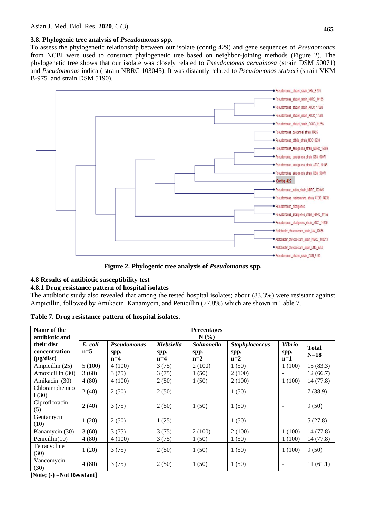## **3.8. Phylogenic tree analysis of** *Pseudomonas* **spp.**

To assess the phylogenetic relationship between our isolate (contig 429) and gene sequences of *Pseudomonas*  from NCBI were used to construct phylogenetic tree based on neighbor-joining methods (Figure 2). The phylogenetic tree shows that our isolate was closely related to *Pseudomonas aeruginosa* (strain DSM 50071) and *Pseudomonas* indica ( strain NBRC 103045). It was distantly related to *Pseudomonas stutzeri* (strain VKM B-975 and strain DSM 5190).



**Figure 2. Phylogenic tree analysis of** *Pseudomonas* **spp.**

# **4.8 Results of antibiotic susceptibility test**

#### **4.8.1 Drug resistance pattern of hospital isolates**

The antibiotic study also revealed that among the tested hospital isolates; about (83.3%) were resistant against Ampicillin, followed by Amikacin, Kanamycin, and Penicillin (77.8%) which are shown in Table 7.

| Table 7. Drug resistance pattern of hospital isolates. |  |  |  |
|--------------------------------------------------------|--|--|--|
|--------------------------------------------------------|--|--|--|

| Name of the<br>antibiotic and                 | <b>Percentages</b><br>N(%) |                                     |                                    |                                    |                                        |                                |                        |  |  |
|-----------------------------------------------|----------------------------|-------------------------------------|------------------------------------|------------------------------------|----------------------------------------|--------------------------------|------------------------|--|--|
| their disc<br>concentration<br>$(\mu g/disc)$ | E. coli<br>$n=5$           | <b>Pseudomonas</b><br>spp.<br>$n=4$ | <b>Klebsiella</b><br>spp.<br>$n=4$ | <b>Salmonella</b><br>spp.<br>$n=2$ | <b>Staphylococcus</b><br>spp.<br>$n=2$ | <b>Vibrio</b><br>spp.<br>$n=1$ | <b>Total</b><br>$N=18$ |  |  |
| Ampicillin (25)                               | 5(100)                     | 4(100)                              | 3(75)                              | 2(100)                             | 1(50)                                  | 1(100)                         | 15(83.3)               |  |  |
| Amoxicillin (30)                              | 3(60)                      | 3(75)                               | 3(75)                              | 1(50)                              | 2(100)                                 | $\overline{\phantom{a}}$       | 12(66.7)               |  |  |
| Amikacin (30)                                 | 4(80)                      | 4(100)                              | 2(50)                              | 1(50)                              | 2(100)                                 | 1(100)                         | 14(77.8)               |  |  |
| Chloramphenico<br>1(30)                       | 2(40)                      | 2(50)                               | 2(50)                              |                                    | 1(50)                                  | $\overline{\phantom{a}}$       | 7(38.9)                |  |  |
| Ciprofloxacin<br>(5)                          | 2(40)                      | 3(75)                               | 2(50)                              | 1(50)                              | 1(50)                                  | $\overline{\phantom{a}}$       | 9(50)                  |  |  |
| Gentamycin<br>(10)                            | 1(20)                      | 2(50)                               | 1(25)                              |                                    | 1(50)                                  | $\overline{\phantom{a}}$       | 5(27.8)                |  |  |
| Kanamycin (30)                                | 3(60)                      | 3(75)                               | 3(75)                              | 2(100)                             | 2(100)                                 | 1(100)                         | 14 (77.8)              |  |  |
| Penicillin(10)                                | 4(80)                      | 4(100)                              | 3(75)                              | 1(50)                              | 1(50)                                  | 1(100)                         | 14 (77.8)              |  |  |
| Tetracycline<br>(30)                          | 1(20)                      | 3(75)                               | 2(50)                              | 1(50)                              | 1(50)                                  | 1(100)                         | 9(50)                  |  |  |
| Vancomycin<br>(30)                            | 4(80)                      | 3(75)                               | 2(50)                              | 1(50)                              | 1(50)                                  | $\overline{\phantom{a}}$       | 11(61.1)               |  |  |

**[Note; (-) =Not Resistant]**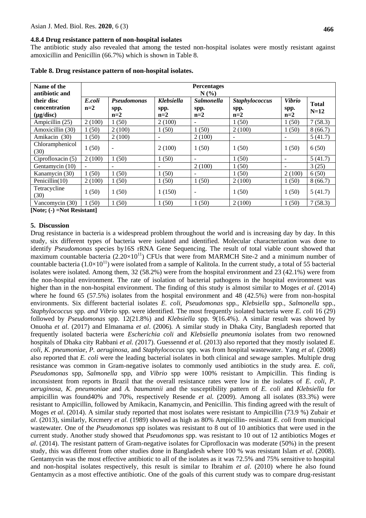#### **4.8.4 Drug resistance pattern of non-hospital isolates**

The antibiotic study also revealed that among the tested non-hospital isolates were mostly resistant against amoxicillin and Penicillin (66.7%) which is shown in Table 8.

| Name of the<br>antibiotic and                                                                                                                                                     | <b>Percentages</b><br>$N(\%)$ |                              |                             |                                    |                                        |                                |                        |  |  |
|-----------------------------------------------------------------------------------------------------------------------------------------------------------------------------------|-------------------------------|------------------------------|-----------------------------|------------------------------------|----------------------------------------|--------------------------------|------------------------|--|--|
| their disc<br>concentration<br>$(\mu g/disc)$                                                                                                                                     | E.coli<br>$n=2$               | Pseudomonas<br>spp.<br>$n=2$ | Klebsiella<br>spp.<br>$n=2$ | <b>Salmonella</b><br>spp.<br>$n=2$ | <b>Staphylococcus</b><br>spp.<br>$n=2$ | <b>Vibrio</b><br>spp.<br>$n=2$ | <b>Total</b><br>$N=12$ |  |  |
| Ampicillin (25)                                                                                                                                                                   | 2(100)                        | 1(50)                        | 2(100)                      | $\overline{\phantom{a}}$           | 1(50)                                  | 1(50)                          | 7(58.3)                |  |  |
| Amoxicillin (30)                                                                                                                                                                  | 1(50)                         | 2(100)                       | 1(50)                       | (50)                               | 2(100)                                 | 1(50)                          | 8(66.7)                |  |  |
| Amikacin (30)                                                                                                                                                                     | 1(50)                         | 2(100)                       | $\blacksquare$              | 2(100)                             |                                        |                                | 5(41.7)                |  |  |
| Chloramphenicol<br>(30)                                                                                                                                                           | 1(50)                         |                              | 2(100)                      | 1(50)                              | 1(50)                                  | 1(50)                          | 6(50)                  |  |  |
| Ciprofloxacin (5)                                                                                                                                                                 | 2(100)                        | 1(50)                        | 1(50)                       | $\overline{\phantom{a}}$           | 1(50)                                  | ٠                              | 5(41.7)                |  |  |
| Gentamycin (10)                                                                                                                                                                   |                               |                              |                             | 2(100)                             | 1(50)                                  |                                | 3(25)                  |  |  |
| Kanamycin (30)                                                                                                                                                                    | 1(50)                         | 1(50)                        | 1(50)                       | $\overline{\phantom{a}}$           | 1(50)                                  | 2(100)                         | 6(50)                  |  |  |
| Penicillin $(10)$                                                                                                                                                                 | 2(100)                        | 1(50)                        | 1(50)                       | 1(50)                              | 2(100)                                 | 1(50)                          | 8(66.7)                |  |  |
| Tetracycline<br>(30)                                                                                                                                                              | 1(50)                         | 1(50)                        | 1(150)                      | $\overline{\phantom{a}}$           | 1(50)                                  | 1(50)                          | 5(41.7)                |  |  |
| Vancomycin (30)<br>$\mathbf{F}$ $\mathbf{M}$ = 4 = $\mathbf{L}$ $\mathbf{N}$ = $\mathbf{M}$ = $\mathbf{A}$ $\mathbf{D}$ = $\mathbf{M}$ = $\mathbf{A}$ = $\mathbf{A}$ $\mathbf{I}$ | 1(50)                         | 1(50)                        | 1(50)                       | 1(50)                              | 2(100)                                 | 1(50)                          | 7(58.3)                |  |  |

**Table 8. Drug resistance pattern of non-hospital isolates.**

**[Note; (-) =Not Resistant]**

#### **5. Discussion**

Drug resistance in bacteria is a widespread problem throughout the world and is increasing day by day. In this study, six different types of bacteria were isolated and identified. Molecular characterization was done to identify *Pseudomonas* species by16S rRNA Gene Sequencing. The result of total viable count showed that maximum countable bacteria  $(2.20\times10^{11})$  CFUs that were from MARMCH Site-2 and a minimum number of countable bacteria  $(1.0\times10^{11})$  were isolated from a sample of Kalitola. In the current study, a total of 55 bacterial isolates were isolated. Among them, 32 (58.2%) were from the hospital environment and 23 (42.1%) were from the non-hospital environment. The rate of isolation of bacterial pathogens in the hospital environment was higher than in the non-hospital environment. The finding of this study is almost similar to Moges *et al*. (2014) where he found 65 (57.5%) isolates from the hospital environment and 48 (42.5%) were from non-hospital environments. Six different bacterial isolates *E. coli, Pseudomonas* spp*., Klebsiella* spp*., Salmonella* spp*., Staphylococcus* spp*. and Vibrio* spp*.* were identified. The most frequently isolated bacteria were *E. coli* 16 (29) followed by *Pseudomonas* spp. 12(21.8%) and *Klebsiella* spp*.* 9(16.4%). A similar result was showed by Onuoha *et al*. (2017) and Elmanama *et al*. (2006)*.* A similar study in Dhaka City, Bangladesh reported that frequently isolated bacteria were *Escherichia coli* and *Klebsiella pneumonia* isolates from two renowned hospitals of Dhaka city Rabbani *et al. (*2017). Guessennd *et al.* (2013) also reported that they mostly isolated *E. coli, K. pneumoniae, P. aeruginosa,* and *Staphylococcus* spp*.* was from hospital wastewater. Yang *et al.* (2008) also reported that *E. coli* were the leading bacterial isolates in both clinical and sewage samples. Multiple drug resistance was common in Gram-negative isolates to commonly used antibiotics in the study area. *E. coli*, *Pseudomonas* spp*, Salmonella* spp, and *Vibrio* spp were 100% resistant to Ampicillin. This finding is inconsistent from reports in Brazil that the overall resistance rates were low in the isolates of *E. coli, P. aeruginosa, K. pneumoniae* and *A. baumannii* and the susceptibility pattern of *E. coli* and *Klebsiella* for ampicillin was found40% and 70%, respectively Resende *et al.* (2009). Among all isolates (83.3%) were resistant to Ampicillin, followed by Amikacin, Kanamycin, and Penicillin. This finding agreed with the result of Moges *et al*. (2014). A similar study reported that most isolates were resistant to Ampicillin (73.9 %) Zubair *et al*. (2013), similarly, Krcmery *et al.* (1989) showed as high as 80% Ampicillin- resistant *E. coli* from municipal wastewater*.* One of the *Pseudomonas* spp isolates was resistant to 8 out of 10 antibiotics that were used in the current study. Another study showed that *Pseudomonas* spp. was resistant to 10 out of 12 antibiotics Moges *et al*. (2014). The resistant pattern of Gram-negative isolates for Ciprofloxacin was moderate (50%) in the present study, this was different from other studies done in Bangladesh where 100 % was resistant Islam *et al*. (2008). Gentamycin was the most effective antibiotic to all of the isolates as it was 72.5% and 75% sensitive to hospital and non-hospital isolates respectively, this result is similar to Ibrahim *et al*. (2010) where he also found Gentamycin as a most effective antibiotic. One of the goals of this current study was to compare drug-resistant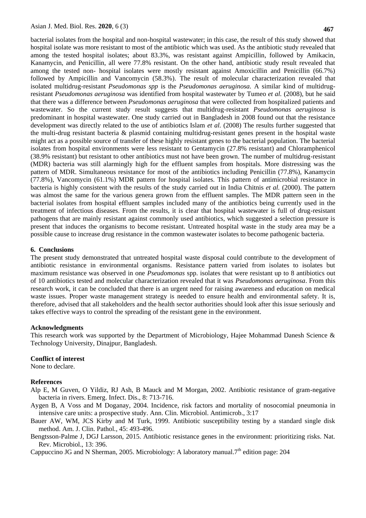bacterial isolates from the hospital and non-hospital wastewater; in this case, the result of this study showed that hospital isolate was more resistant to most of the antibiotic which was used. As the antibiotic study revealed that among the tested hospital isolates; about 83.3%, was resistant against Ampicillin, followed by Amikacin, Kanamycin, and Penicillin, all were 77.8% resistant. On the other hand, antibiotic study result revealed that among the tested non- hospital isolates were mostly resistant against Amoxicillin and Penicillin (66.7%) followed by Ampicillin and Vancomycin (58.3%). The result of molecular characterization revealed that isolated multidrug-resistant *Pseudomonas spp* is the *Pseudomonas aeruginosa.* A similar kind of multidrugresistant *Pseudomonas aeruginosa* was identified from hospital wastewater by Tumeo *et al.* (2008), but he said that there was a difference between *Pseudomonas aeruginosa* that were collected from hospitalized patients and wastewater. So the current study result suggests that multidrug-resistant *Pseudomonas aeruginosa* is predominant in hospital wastewater. One study carried out in Bangladesh in 2008 found out that the resistance development was directly related to the use of antibiotics Islam *et al.* (2008) The results further suggested that the multi-drug resistant bacteria & plasmid containing multidrug-resistant genes present in the hospital waste might act as a possible source of transfer of these highly resistant genes to the bacterial population. The bacterial isolates from hospital environments were less resistant to Gentamycin (27.8% resistant) and Chloramphenicol (38.9% resistant) but resistant to other antibiotics must not have been grown. The number of multidrug-resistant (MDR) bacteria was still alarmingly high for the effluent samples from hospitals. More distressing was the pattern of MDR. Simultaneous resistance for most of the antibiotics including Penicillin (77.8%), Kanamycin (77.8%), Vancomycin (61.1%) MDR pattern for hospital isolates. This pattern of antimicrobial resistance in bacteria is highly consistent with the results of the study carried out in India Chitnis *et al.* (2000). The pattern was almost the same for the various genera grown from the effluent samples. The MDR pattern seen in the bacterial isolates from hospital effluent samples included many of the antibiotics being currently used in the treatment of infectious diseases. From the results, it is clear that hospital wastewater is full of drug-resistant pathogens that are mainly resistant against commonly used antibiotics, which suggested a selection pressure is present that induces the organisms to become resistant. Untreated hospital waste in the study area may be a possible cause to increase drug resistance in the common wastewater isolates to become pathogenic bacteria.

#### **6. Conclusions**

The present study demonstrated that untreated hospital waste disposal could contribute to the development of antibiotic resistance in environmental organisms. Resistance pattern varied from isolates to isolates but maximum resistance was observed in one *Pseudomonas* spp. isolates that were resistant up to 8 antibiotics out of 10 antibiotics tested and molecular characterization revealed that it was *Pseudomonas aeruginosa*. From this research work, it can be concluded that there is an urgent need for raising awareness and education on medical waste issues. Proper waste management strategy is needed to ensure health and environmental safety. It is, therefore, advised that all stakeholders and the health sector authorities should look after this issue seriously and takes effective ways to control the spreading of the resistant gene in the environment.

#### **Acknowledgments**

This research work was supported by the Department of Microbiology, Hajee Mohammad Danesh Science & Technology University, Dinajpur, Bangladesh.

#### **Conflict of interest**

None to declare.

### **References**

- Alp E, M Guven, O Yildiz, RJ Ash, B Mauck and M Morgan, 2002. Antibiotic resistance of gram-negative bacteria in rivers. Emerg. Infect. Dis., 8: 713-716.
- Aygen B, A Voss and M Doganay, 2004. Incidence, risk factors and mortality of nosocomial pneumonia in intensive care units: a prospective study. Ann. Clin. Microbiol. Antimicrob., 3:17
- Bauer AW, WM, JCS Kirby and M Turk, 1999. Antibiotic susceptibility testing by a standard single disk method. Am. J. Clin. Pathol.*,* 45: 493-496.
- Bengtsson-Palme J, DGJ Larsson, 2015. Antibiotic resistance genes in the environment: prioritizing risks. Nat. Rev. Microbiol., 13: 396.

Cappuccino JG and N Sherman, 2005. Microbiology: A laboratory manual.7<sup>th</sup> edition page: 204